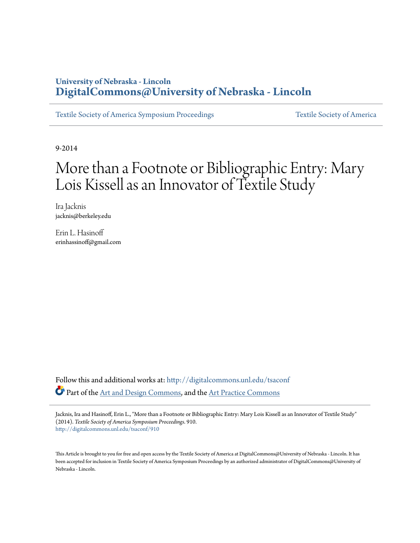### **University of Nebraska - Lincoln [DigitalCommons@University of Nebraska - Lincoln](http://digitalcommons.unl.edu?utm_source=digitalcommons.unl.edu%2Ftsaconf%2F910&utm_medium=PDF&utm_campaign=PDFCoverPages)**

[Textile Society of America Symposium Proceedings](http://digitalcommons.unl.edu/tsaconf?utm_source=digitalcommons.unl.edu%2Ftsaconf%2F910&utm_medium=PDF&utm_campaign=PDFCoverPages) [Textile Society of America](http://digitalcommons.unl.edu/textilesoc?utm_source=digitalcommons.unl.edu%2Ftsaconf%2F910&utm_medium=PDF&utm_campaign=PDFCoverPages)

9-2014

# More than a Footnote or Bibliographic Entry: Mary Lois Kissell as an Innovator of Textile Study

Ira Jacknis jacknis@berkeley.edu

Erin L. Hasinoff erinhassinoff@gmail.com

Follow this and additional works at: [http://digitalcommons.unl.edu/tsaconf](http://digitalcommons.unl.edu/tsaconf?utm_source=digitalcommons.unl.edu%2Ftsaconf%2F910&utm_medium=PDF&utm_campaign=PDFCoverPages) Part of the [Art and Design Commons,](http://network.bepress.com/hgg/discipline/1049?utm_source=digitalcommons.unl.edu%2Ftsaconf%2F910&utm_medium=PDF&utm_campaign=PDFCoverPages) and the [Art Practice Commons](http://network.bepress.com/hgg/discipline/509?utm_source=digitalcommons.unl.edu%2Ftsaconf%2F910&utm_medium=PDF&utm_campaign=PDFCoverPages)

Jacknis, Ira and Hasinoff, Erin L., "More than a Footnote or Bibliographic Entry: Mary Lois Kissell as an Innovator of Textile Study" (2014). *Textile Society of America Symposium Proceedings*. 910. [http://digitalcommons.unl.edu/tsaconf/910](http://digitalcommons.unl.edu/tsaconf/910?utm_source=digitalcommons.unl.edu%2Ftsaconf%2F910&utm_medium=PDF&utm_campaign=PDFCoverPages)

This Article is brought to you for free and open access by the Textile Society of America at DigitalCommons@University of Nebraska - Lincoln. It has been accepted for inclusion in Textile Society of America Symposium Proceedings by an authorized administrator of DigitalCommons@University of Nebraska - Lincoln.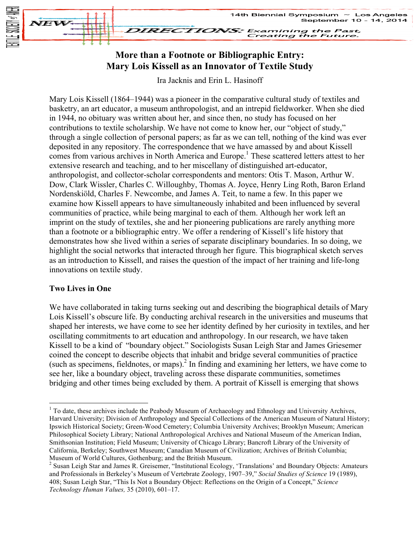

## **More than a Footnote or Bibliographic Entry: Mary Lois Kissell as an Innovator of Textile Study**

Ira Jacknis and Erin L. Hasinoff

Mary Lois Kissell (1864–1944) was a pioneer in the comparative cultural study of textiles and basketry, an art educator, a museum anthropologist, and an intrepid fieldworker. When she died in 1944, no obituary was written about her, and since then, no study has focused on her contributions to textile scholarship. We have not come to know her, our "object of study," through a single collection of personal papers; as far as we can tell, nothing of the kind was ever deposited in any repository. The correspondence that we have amassed by and about Kissell comes from various archives in North America and Europe.<sup>1</sup> These scattered letters attest to her extensive research and teaching, and to her miscellany of distinguished art-educator, anthropologist, and collector-scholar correspondents and mentors: Otis T. Mason, Arthur W. Dow, Clark Wissler, Charles C. Willoughby, Thomas A. Joyce, Henry Ling Roth, Baron Erland Nordenskiöld, Charles F. Newcombe, and James A. Teit, to name a few. In this paper we examine how Kissell appears to have simultaneously inhabited and been influenced by several communities of practice, while being marginal to each of them. Although her work left an imprint on the study of textiles, she and her pioneering publications are rarely anything more than a footnote or a bibliographic entry. We offer a rendering of Kissell's life history that demonstrates how she lived within a series of separate disciplinary boundaries. In so doing, we highlight the social networks that interacted through her figure. This biographical sketch serves as an introduction to Kissell, and raises the question of the impact of her training and life-long innovations on textile study.

#### **Two Lives in One**

We have collaborated in taking turns seeking out and describing the biographical details of Mary Lois Kissell's obscure life. By conducting archival research in the universities and museums that shaped her interests, we have come to see her identity defined by her curiosity in textiles, and her oscillating commitments to art education and anthropology. In our research, we have taken Kissell to be a kind of "boundary object." Sociologists Susan Leigh Star and James Griesemer coined the concept to describe objects that inhabit and bridge several communities of practice (such as specimens, fieldnotes, or maps). $^{2}$  In finding and examining her letters, we have come to see her, like a boundary object, traveling across these disparate communities, sometimes bridging and other times being excluded by them. A portrait of Kissell is emerging that shows

 $1$  To date, these archives include the Peabody Museum of Archaeology and Ethnology and University Archives, Harvard University; Division of Anthropology and Special Collections of the American Museum of Natural History; Ipswich Historical Society; Green-Wood Cemetery; Columbia University Archives; Brooklyn Museum; American Philosophical Society Library; National Anthropological Archives and National Museum of the American Indian, Smithsonian Institution; Field Museum; University of Chicago Library; Bancroft Library of the University of California, Berkeley; Southwest Museum; Canadian Museum of Civilization; Archives of British Columbia; Museum of World Cultures, Gothenburg; and the British Museum.<br><sup>2</sup> Susan Leigh Star and James R. Greisemer, "Institutional Ecology, 'Translations' and Boundary Objects: Amateurs

and Professionals in Berkeley's Museum of Vertebrate Zoology, 1907–39," *Social Studies of Science* 19 (1989), 408; Susan Leigh Star, "This Is Not a Boundary Object: Reflections on the Origin of a Concept," *Science Technology Human Values,* 35 (2010), 601–17.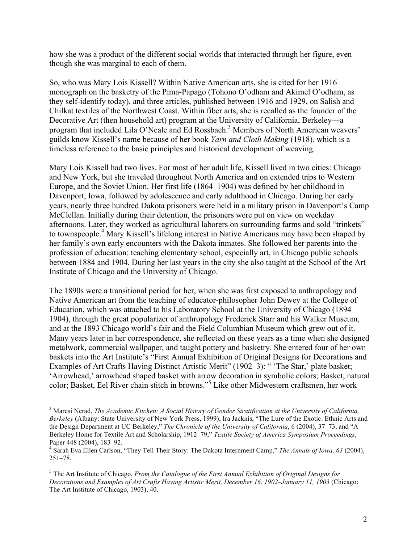how she was a product of the different social worlds that interacted through her figure, even though she was marginal to each of them.

So, who was Mary Lois Kissell? Within Native American arts, she is cited for her 1916 monograph on the basketry of the Pima-Papago (Tohono O'odham and Akimel O'odham, as they self-identify today), and three articles, published between 1916 and 1929, on Salish and Chilkat textiles of the Northwest Coast. Within fiber arts, she is recalled as the founder of the Decorative Art (then household art) program at the University of California, Berkeley—a program that included Lila O'Neale and Ed Rossbach. <sup>3</sup> Members of North American weavers' guilds know Kissell's name because of her book *Yarn and Cloth Making* (1918)*,* which is a timeless reference to the basic principles and historical development of weaving.

Mary Lois Kissell had two lives. For most of her adult life, Kissell lived in two cities: Chicago and New York, but she traveled throughout North America and on extended trips to Western Europe, and the Soviet Union. Her first life (1864–1904) was defined by her childhood in Davenport, Iowa, followed by adolescence and early adulthood in Chicago. During her early years, nearly three hundred Dakota prisoners were held in a military prison in Davenport's Camp McClellan. Initially during their detention, the prisoners were put on view on weekday afternoons. Later, they worked as agricultural laborers on surrounding farms and sold "trinkets" to townspeople.<sup>4</sup> Mary Kissell's lifelong interest in Native Americans may have been shaped by her family's own early encounters with the Dakota inmates. She followed her parents into the profession of education: teaching elementary school, especially art, in Chicago public schools between 1884 and 1904. During her last years in the city she also taught at the School of the Art Institute of Chicago and the University of Chicago.

The 1890s were a transitional period for her, when she was first exposed to anthropology and Native American art from the teaching of educator-philosopher John Dewey at the College of Education, which was attached to his Laboratory School at the University of Chicago (1894– 1904), through the great popularizer of anthropology Frederick Starr and his Walker Museum, and at the 1893 Chicago world's fair and the Field Columbian Museum which grew out of it. Many years later in her correspondence, she reflected on these years as a time when she designed metalwork, commercial wallpaper, and taught pottery and basketry. She entered four of her own baskets into the Art Institute's "First Annual Exhibition of Original Designs for Decorations and Examples of Art Crafts Having Distinct Artistic Merit" (1902–3): " 'The Star,' plate basket; 'Arrowhead,' arrowhead shaped basket with arrow decoration in symbolic colors; Basket, natural color; Basket, Eel River chain stitch in browns." <sup>5</sup> Like other Midwestern craftsmen, her work

 <sup>3</sup> Maresi Nerad, *The Academic Kitchen: A Social History of Gender Stratification at the University of California, Berkeley* (Albany: State University of New York Press, 1999); Ira Jacknis, "The Lure of the Exotic: Ethnic Arts and the Design Department at UC Berkeley," *The Chronicle of the University of California*, 6 (2004), 37–73, and "A Berkeley Home for Textile Art and Scholarship, 1912–79," *Textile Society of America Symposium Proceedings*, Paper 448 (2004), 183–92.<br><sup>4</sup> Sarah Eva Ellen Carlson, "They Tell Their Story: The Dakota Internment Camp," *The Annals of Iowa, 63 (2004)*,

<sup>251–78.</sup>

<sup>5</sup> The Art Institute of Chicago, *From the Catalogue of the First Annual Exhibition of Original Designs for Decorations and Examples of Art Crafts Having Artistic Merit, December 16, 1902–January 11, 1903* (Chicago: The Art Institute of Chicago, 1903), 40.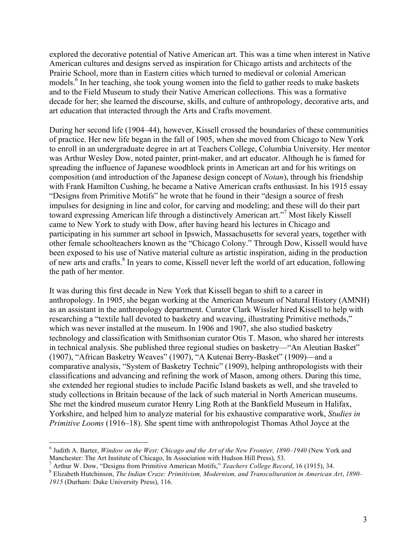explored the decorative potential of Native American art. This was a time when interest in Native American cultures and designs served as inspiration for Chicago artists and architects of the Prairie School, more than in Eastern cities which turned to medieval or colonial American models.<sup>6</sup> In her teaching, she took young women into the field to gather reeds to make baskets and to the Field Museum to study their Native American collections. This was a formative decade for her; she learned the discourse, skills, and culture of anthropology, decorative arts, and art education that interacted through the Arts and Crafts movement.

During her second life (1904–44), however, Kissell crossed the boundaries of these communities of practice. Her new life began in the fall of 1905, when she moved from Chicago to New York to enroll in an undergraduate degree in art at Teachers College, Columbia University. Her mentor was Arthur Wesley Dow, noted painter, print-maker, and art educator. Although he is famed for spreading the influence of Japanese woodblock prints in American art and for his writings on composition (and introduction of the Japanese design concept of *Notan*), through his friendship with Frank Hamilton Cushing, he became a Native American crafts enthusiast. In his 1915 essay "Designs from Primitive Motifs" he wrote that he found in their "design a source of fresh impulses for designing in line and color, for carving and modeling; and these will do their part toward expressing American life through a distinctively American art."<sup>7</sup> Most likely Kissell came to New York to study with Dow, after having heard his lectures in Chicago and participating in his summer art school in Ipswich, Massachusetts for several years, together with other female schoolteachers known as the "Chicago Colony." Through Dow, Kissell would have been exposed to his use of Native material culture as artistic inspiration, aiding in the production of new arts and crafts. <sup>8</sup> In years to come, Kissell never left the world of art education, following the path of her mentor.

It was during this first decade in New York that Kissell began to shift to a career in anthropology. In 1905, she began working at the American Museum of Natural History (AMNH) as an assistant in the anthropology department. Curator Clark Wissler hired Kissell to help with researching a "textile hall devoted to basketry and weaving, illustrating Primitive methods," which was never installed at the museum. In 1906 and 1907, she also studied basketry technology and classification with Smithsonian curator Otis T. Mason, who shared her interests in technical analysis. She published three regional studies on basketry—"An Aleutian Basket" (1907), "African Basketry Weaves" (1907), "A Kutenai Berry-Basket" (1909)—and a comparative analysis, "System of Basketry Technic" (1909), helping anthropologists with their classifications and advancing and refining the work of Mason, among others. During this time, she extended her regional studies to include Pacific Island baskets as well, and she traveled to study collections in Britain because of the lack of such material in North American museums. She met the kindred museum curator Henry Ling Roth at the Bankfield Museum in Halifax, Yorkshire, and helped him to analyze material for his exhaustive comparative work, *Studies in Primitive Looms* (1916–18). She spent time with anthropologist Thomas Athol Joyce at the

 <sup>6</sup> Judith A. Barter, *Window on the West: Chicago and the Art of the New Frontier, 1890–1940* (New York and

Manchester: The Art Institute of Chicago, In Association with Hudson Hill Press), 53.<br><sup>7</sup> Arthur W. Dow, "Designs from Primitive American Motifs," *Teachers College Record*, 16 (1915), 34.<br><sup>8</sup> Elizabeth Hutchinson, *The In 1915* (Durham: Duke University Press), 116.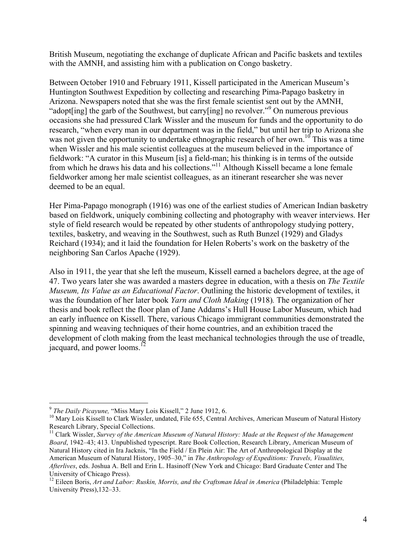British Museum, negotiating the exchange of duplicate African and Pacific baskets and textiles with the AMNH, and assisting him with a publication on Congo basketry.

Between October 1910 and February 1911, Kissell participated in the American Museum's Huntington Southwest Expedition by collecting and researching Pima-Papago basketry in Arizona. Newspapers noted that she was the first female scientist sent out by the AMNH, "adopt[ing] the garb of the Southwest, but carry[ing] no revolver."<sup>9</sup> On numerous previous occasions she had pressured Clark Wissler and the museum for funds and the opportunity to do research, "when every man in our department was in the field," but until her trip to Arizona she was not given the opportunity to undertake ethnographic research of her own.<sup>10</sup> This was a time when Wissler and his male scientist colleagues at the museum believed in the importance of fieldwork: "A curator in this Museum [is] a field-man; his thinking is in terms of the outside from which he draws his data and his collections."<sup>11</sup> Although Kissell became a lone female fieldworker among her male scientist colleagues, as an itinerant researcher she was never deemed to be an equal.

Her Pima-Papago monograph (1916) was one of the earliest studies of American Indian basketry based on fieldwork, uniquely combining collecting and photography with weaver interviews. Her style of field research would be repeated by other students of anthropology studying pottery, textiles, basketry, and weaving in the Southwest, such as Ruth Bunzel (1929) and Gladys Reichard (1934); and it laid the foundation for Helen Roberts's work on the basketry of the neighboring San Carlos Apache (1929).

Also in 1911, the year that she left the museum, Kissell earned a bachelors degree, at the age of 47. Two years later she was awarded a masters degree in education, with a thesis on *The Textile Museum, Its Value as an Educational Factor*. Outlining the historic development of textiles, it was the foundation of her later book *Yarn and Cloth Making* (1918)*.* The organization of her thesis and book reflect the floor plan of Jane Addams's Hull House Labor Museum, which had an early influence on Kissell. There, various Chicago immigrant communities demonstrated the spinning and weaving techniques of their home countries, and an exhibition traced the development of cloth making from the least mechanical technologies through the use of treadle, jacquard, and power looms.<sup>12</sup>

<sup>&</sup>lt;sup>9</sup> *The Daily Picayune,* "Miss Mary Lois Kissell," 2 June 1912, 6.<br><sup>10</sup> Mary Lois Kissell to Clark Wissler, undated, File 655, Central Archives, American Museum of Natural History<br>Research Library, Special Collections.

<sup>&</sup>lt;sup>11</sup> Clark Wissler, *Survey of the American Museum of Natural History: Made at the Request of the Management Board*, 1942–43; 413. Unpublished typescript. Rare Book Collection, Research Library, American Museum of Natural History cited in Ira Jacknis, "In the Field / En Plein Air: The Art of Anthropological Display at the American Museum of Natural History, 1905–30," in *The Anthropology of Expeditions: Travels, Visualities, Afterlives*, eds. Joshua A. Bell and Erin L. Hasinoff (New York and Chicago: Bard Graduate Center and The University of Chicago Press).

<sup>&</sup>lt;sup>12</sup> Eileen Boris, *Art and Labor: Ruskin, Morris, and the Craftsman Ideal in America* (Philadelphia: Temple University Press),132–33.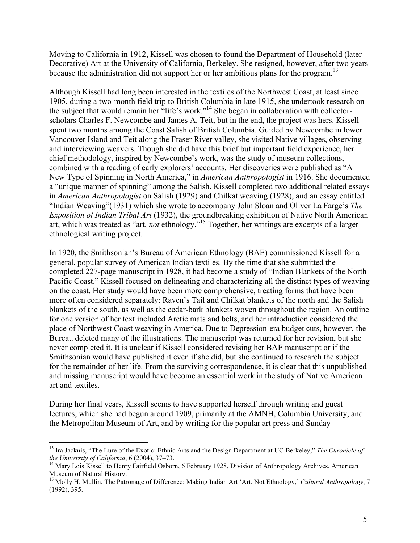Moving to California in 1912, Kissell was chosen to found the Department of Household (later Decorative) Art at the University of California, Berkeley. She resigned, however, after two years because the administration did not support her or her ambitious plans for the program.<sup>13</sup>

Although Kissell had long been interested in the textiles of the Northwest Coast, at least since 1905, during a two-month field trip to British Columbia in late 1915, she undertook research on the subject that would remain her "life's work."<sup>14</sup> She began in collaboration with collectorscholars Charles F. Newcombe and James A. Teit, but in the end, the project was hers. Kissell spent two months among the Coast Salish of British Columbia. Guided by Newcombe in lower Vancouver Island and Teit along the Fraser River valley, she visited Native villages, observing and interviewing weavers. Though she did have this brief but important field experience, her chief methodology, inspired by Newcombe's work, was the study of museum collections, combined with a reading of early explorers' accounts. Her discoveries were published as "A New Type of Spinning in North America," in *American Anthropologist* in 1916. She documented a "unique manner of spinning" among the Salish. Kissell completed two additional related essays in *American Anthropologist* on Salish (1929) and Chilkat weaving (1928), and an essay entitled "Indian Weaving"(1931) which she wrote to accompany John Sloan and Oliver La Farge's *The Exposition of Indian Tribal Art* (1932), the groundbreaking exhibition of Native North American art, which was treated as "art, *not* ethnology." <sup>15</sup> Together, her writings are excerpts of a larger ethnological writing project.

In 1920, the Smithsonian's Bureau of American Ethnology (BAE) commissioned Kissell for a general, popular survey of American Indian textiles. By the time that she submitted the completed 227-page manuscript in 1928, it had become a study of "Indian Blankets of the North Pacific Coast." Kissell focused on delineating and characterizing all the distinct types of weaving on the coast. Her study would have been more comprehensive, treating forms that have been more often considered separately: Raven's Tail and Chilkat blankets of the north and the Salish blankets of the south, as well as the cedar-bark blankets woven throughout the region. An outline for one version of her text included Arctic mats and belts, and her introduction considered the place of Northwest Coast weaving in America. Due to Depression-era budget cuts, however, the Bureau deleted many of the illustrations. The manuscript was returned for her revision, but she never completed it. It is unclear if Kissell considered revising her BAE manuscript or if the Smithsonian would have published it even if she did, but she continued to research the subject for the remainder of her life. From the surviving correspondence, it is clear that this unpublished and missing manuscript would have become an essential work in the study of Native American art and textiles.

During her final years, Kissell seems to have supported herself through writing and guest lectures, which she had begun around 1909, primarily at the AMNH, Columbia University, and the Metropolitan Museum of Art, and by writing for the popular art press and Sunday

<sup>&</sup>lt;sup>13</sup> Ira Jacknis, "The Lure of the Exotic: Ethnic Arts and the Design Department at UC Berkeley," *The Chronicle of the University of California*, 6 (2004), 37–73.

*the University of California*, 6 (2004), 37–73.<br><sup>14</sup> Mary Lois Kissell to Henry Fairfield Osborn, 6 February 1928, Division of Anthropology Archives, American Museum of Natural History.

<sup>&</sup>lt;sup>15</sup> Molly H. Mullin, The Patronage of Difference: Making Indian Art 'Art, Not Ethnology,' *Cultural Anthropology*, 7 (1992), 395.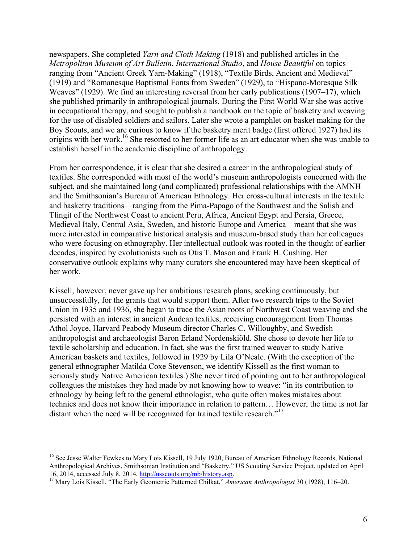newspapers. She completed *Yarn and Cloth Making* (1918) and published articles in the *Metropolitan Museum of Art Bulletin*, *International Studio*, and *House Beautiful* on topics ranging from "Ancient Greek Yarn-Making" (1918), "Textile Birds, Ancient and Medieval" (1919) and "Romanesque Baptismal Fonts from Sweden" (1929), to "Hispano-Moresque Silk Weaves" (1929). We find an interesting reversal from her early publications (1907–17), which she published primarily in anthropological journals. During the First World War she was active in occupational therapy, and sought to publish a handbook on the topic of basketry and weaving for the use of disabled soldiers and sailors. Later she wrote a pamphlet on basket making for the Boy Scouts, and we are curious to know if the basketry merit badge (first offered 1927) had its origins with her work.<sup>16</sup> She resorted to her former life as an art educator when she was unable to establish herself in the academic discipline of anthropology.

From her correspondence, it is clear that she desired a career in the anthropological study of textiles. She corresponded with most of the world's museum anthropologists concerned with the subject, and she maintained long (and complicated) professional relationships with the AMNH and the Smithsonian's Bureau of American Ethnology. Her cross-cultural interests in the textile and basketry traditions—ranging from the Pima-Papago of the Southwest and the Salish and Tlingit of the Northwest Coast to ancient Peru, Africa, Ancient Egypt and Persia, Greece, Medieval Italy, Central Asia, Sweden, and historic Europe and America—meant that she was more interested in comparative historical analysis and museum-based study than her colleagues who were focusing on ethnography. Her intellectual outlook was rooted in the thought of earlier decades, inspired by evolutionists such as Otis T. Mason and Frank H. Cushing. Her conservative outlook explains why many curators she encountered may have been skeptical of her work.

Kissell, however, never gave up her ambitious research plans, seeking continuously, but unsuccessfully, for the grants that would support them. After two research trips to the Soviet Union in 1935 and 1936, she began to trace the Asian roots of Northwest Coast weaving and she persisted with an interest in ancient Andean textiles, receiving encouragement from Thomas Athol Joyce, Harvard Peabody Museum director Charles C. Willoughby, and Swedish anthropologist and archaeologist Baron Erland Nordenskiöld. She chose to devote her life to textile scholarship and education. In fact, she was the first trained weaver to study Native American baskets and textiles, followed in 1929 by Lila O'Neale. (With the exception of the general ethnographer Matilda Coxe Stevenson, we identify Kissell as the first woman to seriously study Native American textiles.) She never tired of pointing out to her anthropological colleagues the mistakes they had made by not knowing how to weave: "in its contribution to ethnology by being left to the general ethnologist, who quite often makes mistakes about technics and does not know their importance in relation to pattern… However, the time is not far distant when the need will be recognized for trained textile research."<sup>17</sup>

<sup>&</sup>lt;sup>16</sup> See Jesse Walter Fewkes to Mary Lois Kissell, 19 July 1920, Bureau of American Ethnology Records, National Anthropological Archives, Smithsonian Institution and "Basketry," US Scouting Service Project, updated on April 16, 2014, accessed July 8, 2014, http://usscouts.org/mb/history.asp. <sup>17</sup> Mary Lois Kissell, "The Early Geometric Patterned Chilkat," *American Anthropologist* 30 (1928), 116–20.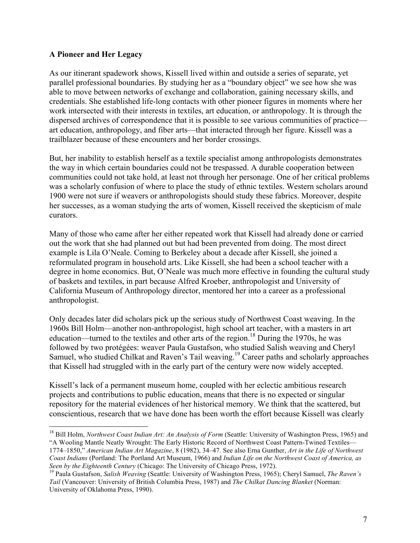#### **A Pioneer and Her Legacy**

As our itinerant spadework shows, Kissell lived within and outside a series of separate, yet parallel professional boundaries. By studying her as a "boundary object" we see how she was able to move between networks of exchange and collaboration, gaining necessary skills, and credentials. She established life-long contacts with other pioneer figures in moments where her work intersected with their interests in textiles, art education, or anthropology. It is through the dispersed archives of correspondence that it is possible to see various communities of practice art education, anthropology, and fiber arts—that interacted through her figure. Kissell was a trailblazer because of these encounters and her border crossings.

But, her inability to establish herself as a textile specialist among anthropologists demonstrates the way in which certain boundaries could not be trespassed. A durable cooperation between communities could not take hold, at least not through her personage. One of her critical problems was a scholarly confusion of where to place the study of ethnic textiles. Western scholars around 1900 were not sure if weavers or anthropologists should study these fabrics. Moreover, despite her successes, as a woman studying the arts of women, Kissell received the skepticism of male curators.

Many of those who came after her either repeated work that Kissell had already done or carried out the work that she had planned out but had been prevented from doing. The most direct example is Lila O'Neale. Coming to Berkeley about a decade after Kissell, she joined a reformulated program in household arts. Like Kissell, she had been a school teacher with a degree in home economics. But, O'Neale was much more effective in founding the cultural study of baskets and textiles, in part because Alfred Kroeber, anthropologist and University of California Museum of Anthropology director, mentored her into a career as a professional anthropologist.

Only decades later did scholars pick up the serious study of Northwest Coast weaving. In the 1960s Bill Holm—another non-anthropologist, high school art teacher, with a masters in art education—turned to the textiles and other arts of the region.<sup>18</sup> During the 1970s, he was followed by two protégées: weaver Paula Gustafson, who studied Salish weaving and Cheryl Samuel, who studied Chilkat and Raven's Tail weaving.<sup>19</sup> Career paths and scholarly approaches that Kissell had struggled with in the early part of the century were now widely accepted.

Kissell's lack of a permanent museum home, coupled with her eclectic ambitious research projects and contributions to public education, means that there is no expected or singular repository for the material evidences of her historical memory. We think that the scattered, but conscientious, research that we have done has been worth the effort because Kissell was clearly

<sup>&</sup>lt;sup>18</sup> Bill Holm, *Northwest Coast Indian Art: An Analysis of Form* (Seattle: University of Washington Press, 1965) and "A Wooling Mantle Neatly Wrought: The Early Historic Record of Northwest Coast Pattern-Twined Textiles— 1774–1850," *American Indian Art Magazine*, 8 (1982), 34–47. See also Erna Gunther, *Art in the Life of Northwest Coast Indians* (Portland: The Portland Art Museum, 1966) and *Indian Life on the Northwest Coast of America, as Seen by the Eighteenth Century* (Chicago: The University of Chicago Press, 1972).<br><sup>19</sup> Paula Gustafson, *Salish Weaving* (Seattle: University of Washington Press, 1965); Cheryl Samuel, *The Raven's* 

*Tail* (Vancouver: University of British Columbia Press, 1987) and *The Chilkat Dancing Blanket* (Norman: University of Oklahoma Press, 1990).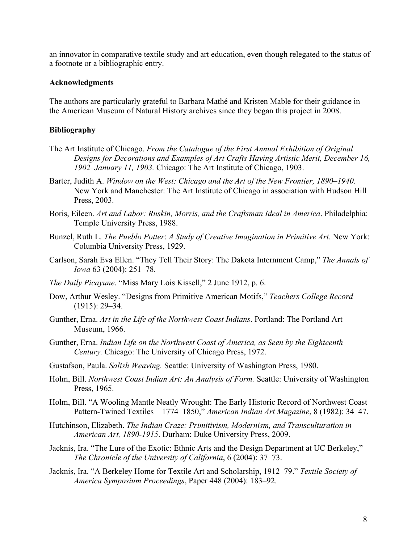an innovator in comparative textile study and art education, even though relegated to the status of a footnote or a bibliographic entry.

#### **Acknowledgments**

The authors are particularly grateful to Barbara Mathé and Kristen Mable for their guidance in the American Museum of Natural History archives since they began this project in 2008.

#### **Bibliography**

- The Art Institute of Chicago. *From the Catalogue of the First Annual Exhibition of Original Designs for Decorations and Examples of Art Crafts Having Artistic Merit, December 16, 1902–January 11, 1903.* Chicago: The Art Institute of Chicago, 1903.
- Barter, Judith A. *Window on the West: Chicago and the Art of the New Frontier, 1890–1940*. New York and Manchester: The Art Institute of Chicago in association with Hudson Hill Press, 2003.
- Boris, Eileen. *Art and Labor: Ruskin, Morris, and the Craftsman Ideal in America*. Philadelphia: Temple University Press, 1988.
- Bunzel, Ruth L. *The Pueblo Potter*: *A Study of Creative Imagination in Primitive Art*. New York: Columbia University Press, 1929.
- Carlson, Sarah Eva Ellen. "They Tell Their Story: The Dakota Internment Camp," *The Annals of Iowa* 63 (2004): 251–78.
- *The Daily Picayune*. "Miss Mary Lois Kissell," 2 June 1912, p. 6.
- Dow, Arthur Wesley. "Designs from Primitive American Motifs," *Teachers College Record* (1915): 29–34.
- Gunther, Erna. *Art in the Life of the Northwest Coast Indians*. Portland: The Portland Art Museum, 1966.
- Gunther, Erna. *Indian Life on the Northwest Coast of America, as Seen by the Eighteenth Century.* Chicago: The University of Chicago Press, 1972.
- Gustafson, Paula. *Salish Weaving.* Seattle: University of Washington Press, 1980.
- Holm, Bill. *Northwest Coast Indian Art: An Analysis of Form.* Seattle: University of Washington Press, 1965.
- Holm, Bill. "A Wooling Mantle Neatly Wrought: The Early Historic Record of Northwest Coast Pattern-Twined Textiles—1774–1850," *American Indian Art Magazine*, 8 (1982): 34–47.
- Hutchinson, Elizabeth. *The Indian Craze: Primitivism, Modernism, and Transculturation in American Art, 1890-1915*. Durham: Duke University Press, 2009.
- Jacknis, Ira. "The Lure of the Exotic: Ethnic Arts and the Design Department at UC Berkeley," *The Chronicle of the University of California*, 6 (2004): 37–73.
- Jacknis, Ira. "A Berkeley Home for Textile Art and Scholarship, 1912–79." *Textile Society of America Symposium Proceedings*, Paper 448 (2004): 183–92.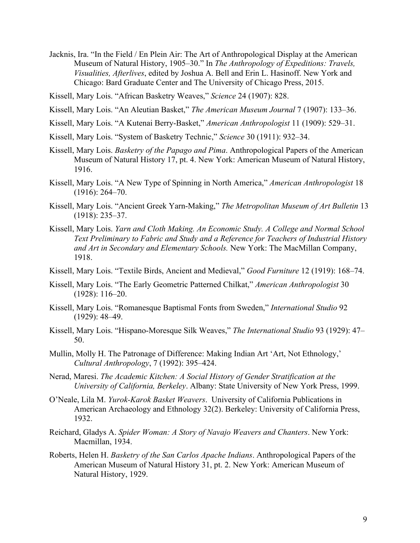- Jacknis, Ira. "In the Field / En Plein Air: The Art of Anthropological Display at the American Museum of Natural History, 1905–30." In *The Anthropology of Expeditions: Travels, Visualities, Afterlives*, edited by Joshua A. Bell and Erin L. Hasinoff. New York and Chicago: Bard Graduate Center and The University of Chicago Press, 2015.
- Kissell, Mary Lois. "African Basketry Weaves," *Science* 24 (1907): 828.
- Kissell, Mary Lois. "An Aleutian Basket," *The American Museum Journal* 7 (1907): 133–36.
- Kissell, Mary Lois. "A Kutenai Berry-Basket," *American Anthropologist* 11 (1909): 529–31.
- Kissell, Mary Lois. "System of Basketry Technic," *Science* 30 (1911): 932–34.
- Kissell, Mary Lois. *Basketry of the Papago and Pima*. Anthropological Papers of the American Museum of Natural History 17, pt. 4. New York: American Museum of Natural History, 1916.
- Kissell, Mary Lois. "A New Type of Spinning in North America," *American Anthropologist* 18 (1916): 264–70.
- Kissell, Mary Lois. "Ancient Greek Yarn-Making," *The Metropolitan Museum of Art Bulletin* 13 (1918): 235–37.
- Kissell, Mary Lois. *Yarn and Cloth Making. An Economic Study. A College and Normal School Text Preliminary to Fabric and Study and a Reference for Teachers of Industrial History and Art in Secondary and Elementary Schools.* New York: The MacMillan Company, 1918.
- Kissell, Mary Lois. "Textile Birds, Ancient and Medieval," *Good Furniture* 12 (1919): 168–74.
- Kissell, Mary Lois. "The Early Geometric Patterned Chilkat," *American Anthropologist* 30 (1928): 116–20.
- Kissell, Mary Lois. "Romanesque Baptismal Fonts from Sweden," *International Studio* 92 (1929): 48–49.
- Kissell, Mary Lois. "Hispano-Moresque Silk Weaves," *The International Studio* 93 (1929): 47– 50.
- Mullin, Molly H. The Patronage of Difference: Making Indian Art 'Art, Not Ethnology,' *Cultural Anthropology*, 7 (1992): 395–424.
- Nerad, Maresi. *The Academic Kitchen: A Social History of Gender Stratification at the University of California, Berkeley*. Albany: State University of New York Press, 1999.
- O'Neale, Lila M. *Yurok-Karok Basket Weavers*. University of California Publications in American Archaeology and Ethnology 32(2). Berkeley: University of California Press, 1932.
- Reichard, Gladys A. *Spider Woman: A Story of Navajo Weavers and Chanters*. New York: Macmillan, 1934.
- Roberts, Helen H. *Basketry of the San Carlos Apache Indians*. Anthropological Papers of the American Museum of Natural History 31, pt. 2. New York: American Museum of Natural History, 1929.